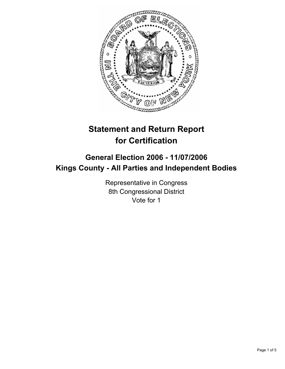

# **Statement and Return Report for Certification**

# **General Election 2006 - 11/07/2006 Kings County - All Parties and Independent Bodies**

Representative in Congress 8th Congressional District Vote for 1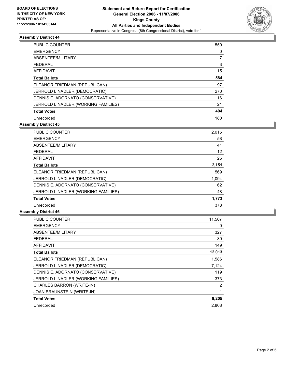

## **Assembly District 44**

| <b>PUBLIC COUNTER</b>               | 559 |
|-------------------------------------|-----|
| <b>EMERGENCY</b>                    | 0   |
| ABSENTEE/MILITARY                   |     |
| <b>FEDERAL</b>                      | 3   |
| AFFIDAVIT                           | 15  |
| <b>Total Ballots</b>                | 584 |
| ELEANOR FRIEDMAN (REPUBLICAN)       | 97  |
| JERROLD L NADLER (DEMOCRATIC)       | 270 |
| DENNIS E. ADORNATO (CONSERVATIVE)   | 16  |
| JERROLD L NADLER (WORKING FAMILIES) | 21  |
| <b>Total Votes</b>                  | 404 |
| Unrecorded                          | 180 |

**Assembly District 45**

| PUBLIC COUNTER                      | 2,015 |
|-------------------------------------|-------|
| <b>EMERGENCY</b>                    | 58    |
| ABSENTEE/MILITARY                   | 41    |
| <b>FEDERAL</b>                      | 12    |
| AFFIDAVIT                           | 25    |
| <b>Total Ballots</b>                | 2,151 |
| ELEANOR FRIEDMAN (REPUBLICAN)       | 569   |
| JERROLD L NADLER (DEMOCRATIC)       | 1,094 |
| DENNIS E. ADORNATO (CONSERVATIVE)   | 62    |
| JERROLD L NADLER (WORKING FAMILIES) | 48    |
| <b>Total Votes</b>                  | 1,773 |
| Unrecorded                          | 378   |

#### **Assembly District 46**

| <b>PUBLIC COUNTER</b>               | 11,507 |
|-------------------------------------|--------|
| <b>EMERGENCY</b>                    | 0      |
| ABSENTEE/MILITARY                   | 327    |
| FEDERAL                             | 30     |
| <b>AFFIDAVIT</b>                    | 149    |
| <b>Total Ballots</b>                | 12,013 |
| ELEANOR FRIEDMAN (REPUBLICAN)       | 1,586  |
| JERROLD L NADLER (DEMOCRATIC)       | 7,124  |
| DENNIS E. ADORNATO (CONSERVATIVE)   | 119    |
| JERROLD L NADLER (WORKING FAMILIES) | 373    |
| CHARLES BARRON (WRITE-IN)           | 2      |
| JOAN BRAUNSTEIN (WRITE-IN)          |        |
| <b>Total Votes</b>                  | 9,205  |
| Unrecorded                          | 2,808  |
|                                     |        |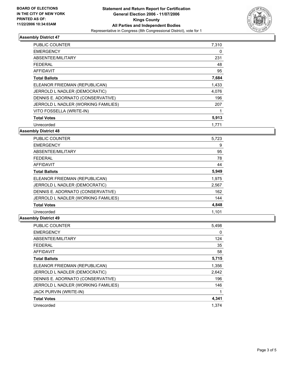

# **Assembly District 47**

| PUBLIC COUNTER                      | 7,310 |
|-------------------------------------|-------|
| <b>EMERGENCY</b>                    | 0     |
| ABSENTEE/MILITARY                   | 231   |
| <b>FEDERAL</b>                      | 48    |
| AFFIDAVIT                           | 95    |
| <b>Total Ballots</b>                | 7,684 |
| ELEANOR FRIEDMAN (REPUBLICAN)       | 1,433 |
| JERROLD L NADLER (DEMOCRATIC)       | 4,076 |
| DENNIS E. ADORNATO (CONSERVATIVE)   | 196   |
| JERROLD L NADLER (WORKING FAMILIES) | 207   |
| VITO FOSSELLA (WRITE-IN)            |       |
| <b>Total Votes</b>                  | 5,913 |
| Unrecorded                          | 1,771 |

## **Assembly District 48**

| <b>PUBLIC COUNTER</b>               | 5,723 |  |
|-------------------------------------|-------|--|
| <b>EMERGENCY</b>                    | 9     |  |
| ABSENTEE/MILITARY                   | 95    |  |
| <b>FEDERAL</b>                      | 78    |  |
| AFFIDAVIT                           | 44    |  |
| <b>Total Ballots</b>                | 5,949 |  |
| ELEANOR FRIEDMAN (REPUBLICAN)       | 1,975 |  |
| JERROLD L NADLER (DEMOCRATIC)       | 2,567 |  |
| DENNIS E. ADORNATO (CONSERVATIVE)   | 162   |  |
| JERROLD L NADLER (WORKING FAMILIES) | 144   |  |
| <b>Total Votes</b>                  | 4,848 |  |
| Unrecorded                          | 1,101 |  |

## **Assembly District 49**

| PUBLIC COUNTER                      | 5,498 |
|-------------------------------------|-------|
| <b>EMERGENCY</b>                    | 0     |
| ABSENTEE/MILITARY                   | 124   |
| <b>FEDERAL</b>                      | 35    |
| <b>AFFIDAVIT</b>                    | 58    |
| <b>Total Ballots</b>                | 5,715 |
| ELEANOR FRIEDMAN (REPUBLICAN)       | 1,356 |
| JERROLD L NADLER (DEMOCRATIC)       | 2,642 |
| DENNIS E. ADORNATO (CONSERVATIVE)   | 196   |
| JERROLD L NADLER (WORKING FAMILIES) | 146   |
| <b>JACK PURVIN (WRITE-IN)</b>       |       |
| <b>Total Votes</b>                  | 4,341 |
| Unrecorded                          | 1.374 |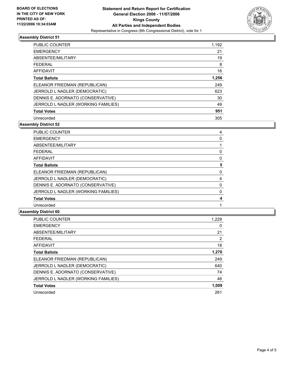

## **Assembly District 51**

| <b>PUBLIC COUNTER</b>               | 1,192 |
|-------------------------------------|-------|
| <b>EMERGENCY</b>                    | 21    |
| ABSENTEE/MILITARY                   | 19    |
| <b>FEDERAL</b>                      | 8     |
| AFFIDAVIT                           | 16    |
| <b>Total Ballots</b>                | 1,256 |
| ELEANOR FRIEDMAN (REPUBLICAN)       | 249   |
| JERROLD L NADLER (DEMOCRATIC)       | 623   |
| DENNIS E. ADORNATO (CONSERVATIVE)   | 30    |
| JERROLD L NADLER (WORKING FAMILIES) | 49    |
| <b>Total Votes</b>                  | 951   |
| Unrecorded                          | 305   |

**Assembly District 52**

| <b>PUBLIC COUNTER</b><br>4          |  |
|-------------------------------------|--|
| <b>EMERGENCY</b>                    |  |
| ABSENTEE/MILITARY                   |  |
| <b>FEDERAL</b>                      |  |
| AFFIDAVIT                           |  |
| <b>Total Ballots</b>                |  |
| ELEANOR FRIEDMAN (REPUBLICAN)       |  |
| JERROLD L NADLER (DEMOCRATIC)       |  |
| DENNIS E. ADORNATO (CONSERVATIVE)   |  |
| JERROLD L NADLER (WORKING FAMILIES) |  |
| <b>Total Votes</b>                  |  |
| Unrecorded                          |  |

#### **Assembly District 60**

| <b>PUBLIC COUNTER</b>               | 1,229 |
|-------------------------------------|-------|
| <b>EMERGENCY</b>                    | 0     |
| ABSENTEE/MILITARY                   | 21    |
| <b>FEDERAL</b>                      | 2     |
| <b>AFFIDAVIT</b>                    | 18    |
| <b>Total Ballots</b>                | 1,270 |
| ELEANOR FRIEDMAN (REPUBLICAN)       | 249   |
| JERROLD L NADLER (DEMOCRATIC)       | 640   |
| DENNIS E. ADORNATO (CONSERVATIVE)   | 74    |
| JERROLD L NADLER (WORKING FAMILIES) | 46    |
| <b>Total Votes</b>                  | 1,009 |
| Unrecorded                          | 261   |